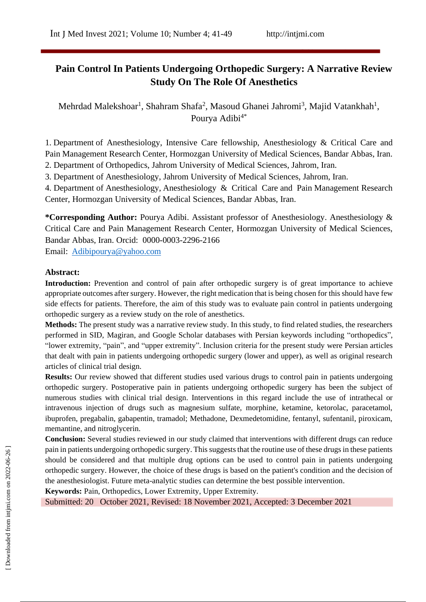# **Pain Control In Patients Undergoing Orthopedic Surgery: A Narrative Review Study On The Role Of Anesthetics**

Mehrdad Malekshoar<sup>1</sup>, Shahram Shafa<sup>2</sup>, Masoud Ghanei Jahromi<sup>3</sup>, Majid Vatankhah<sup>1</sup>, Pourya Adibi<sup>4\*</sup>

1. Department of Anesthesiology, Intensive Care fellowship, Anesthesiology & Critical Care and Pain Management Research Center, Hormozgan University of Medical Sciences, Bandar Abbas, Iran. 2. Department of Orthopedics, Jahrom University of Medical Sciences, Jahrom, Iran.

3. Department of Anesthesiology, Jahrom University of Medical Sciences, Jahrom, Iran.

4. Department of Anesthesiology, Anesthesiology & Critical Care and Pain Management Research Center, Hormozgan University of Medical Sciences, Bandar Abbas, Iran.

**\*Corresponding Author:** Pourya Adibi. Assistant professor of Anesthesiology. Anesthesiology & Critical Care and Pain Management Research Center, Hormozgan University of Medical Sciences, Bandar Abbas, Iran. Orcid: 0000-0003-2296-2166

Email: [Adibipourya@yahoo.com](mailto:vatankhahmajid565@gmail.com/)

### **Abstract:**

**Introduction:** Prevention and control of pain after orthopedic surgery is of great importance to achieve appropriate outcomes after surgery. However, the right medication that is being chosen for this should have few side effects for patients. Therefore, the aim of this study was to evaluate pain control in patients undergoing orthopedic surgery as a review study on the role of anesthetics.

**Methods:** The present study was a narrative review study. In this study, to find related studies, the researchers performed in SID, Magiran, and Google Scholar databases with Persian keywords including "orthopedics", "lower extremity, "pain", and "upper extremity". Inclusion criteria for the present study were Persian articles that dealt with pain in patients undergoing orthopedic surgery (lower and upper), as well as original research articles of clinical trial design.

**Results:** Our review showed that different studies used various drugs to control pain in patients undergoing orthopedic surgery. Postoperative pain in patients undergoing orthopedic surgery has been the subject of numerous studies with clinical trial design. Interventions in this regard include the use of intrathecal or intravenous injection of drugs such as magnesium sulfate, morphine, ketamine, ketorolac, paracetamol, ibuprofen, pregabalin, gabapentin, tramadol; Methadone, Dexmedetomidine, fentanyl, sufentanil, piroxicam, memantine, and nitroglycerin.

**Conclusion:** Several studies reviewed in our study claimed that interventions with different drugs can reduce pain in patients undergoing orthopedic surgery. This suggests that the routine use of these drugs in these patients should be considered and that multiple drug options can be used to control pain in patients undergoing orthopedic surgery. However, the choice of these drugs is based on the patient's condition and the decision of the anesthesiologist. Future meta-analytic studies can determine the best possible intervention.

**Keywords:** Pain, Orthopedics, Lower Extremity, Upper Extremity.

Submitted: 20 October 2021, Revised: 18 November 2021, Accepted: 3 December 2021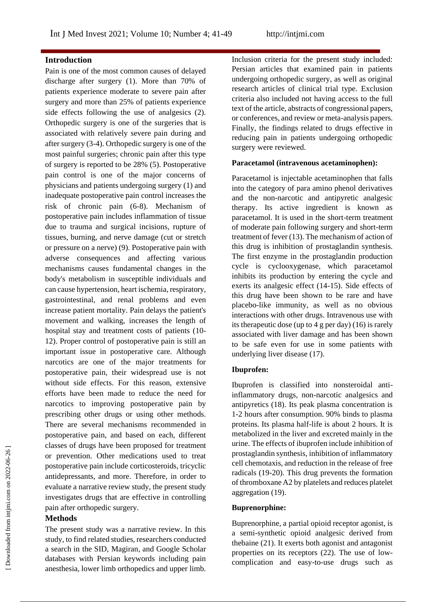### **Introduction**

Pain is one of the most common causes of delayed discharge after surgery (1). More than 70% of patients experience moderate to severe pain after surgery and more than 25% of patients experience side effects following the use of analgesics (2). Orthopedic surgery is one of the surgeries that is associated with relatively severe pain during and after surgery (3-4). Orthopedic surgery is one of the most painful surgeries; chronic pain after this type of surgery is reported to be 28% (5). Postoperative pain control is one of the major concerns of physicians and patients undergoing surgery (1) and inadequate postoperative pain control increases the risk of chronic pain (6-8). Mechanism of postoperative pain includes inflammation of tissue due to trauma and surgical incisions, rupture of tissues, burning, and nerve damage (cut or stretch or pressure on a nerve) (9). Postoperative pain with adverse consequences and affecting various mechanisms causes fundamental changes in the body's metabolism in susceptible individuals and can cause hypertension, heart ischemia, respiratory, gastrointestinal, and renal problems and even increase patient mortality. Pain delays the patient's movement and walking, increases the length of hospital stay and treatment costs of patients (10- 12). Proper control of postoperative pain is still an important issue in postoperative care. Although narcotics are one of the major treatments for postoperative pain, their widespread use is not without side effects. For this reason, extensive efforts have been made to reduce the need for narcotics to improving postoperative pain by prescribing other drugs or using other methods. There are several mechanisms recommended in postoperative pain, and based on each, different classes of drugs have been proposed for treatment or prevention. Other medications used to treat postoperative pain include corticosteroids, tricyclic antidepressants, and more. Therefore, in order to evaluate a narrative review study, the present study investigates drugs that are effective in controlling pain after orthopedic surgery.

#### **Methods**

The present study was a narrative review. In this study, to find related studies, researchers conducted a search in the SID, Magiran, and Google Scholar databases with Persian keywords including pain anesthesia, lower limb orthopedics and upper limb.

Inclusion criteria for the present study included: Persian articles that examined pain in patients undergoing orthopedic surgery, as well as original research articles of clinical trial type. Exclusion criteria also included not having access to the full text of the article, abstracts of congressional papers, or conferences, and review or meta-analysis papers. Finally, the findings related to drugs effective in reducing pain in patients undergoing orthopedic surgery were reviewed.

#### **Paracetamol (intravenous acetaminophen):**

Paracetamol is injectable acetaminophen that falls into the category of para amino phenol derivatives and the non-narcotic and antipyretic analgesic therapy. Its active ingredient is known as paracetamol. It is used in the short-term treatment of moderate pain following surgery and short-term treatment of fever (13). The mechanism of action of this drug is inhibition of prostaglandin synthesis. The first enzyme in the prostaglandin production cycle is cyclooxygenase, which paracetamol inhibits its production by entering the cycle and exerts its analgesic effect (14-15). Side effects of this drug have been shown to be rare and have placebo-like immunity, as well as no obvious interactions with other drugs. Intravenous use with its therapeutic dose (up to 4 g per day) (16) is rarely associated with liver damage and has been shown to be safe even for use in some patients with underlying liver disease (17).

#### **Ibuprofen:**

Ibuprofen is classified into nonsteroidal antiinflammatory drugs, non-narcotic analgesics and antipyretics (18). Its peak plasma concentration is 1-2 hours after consumption. 90% binds to plasma proteins. Its plasma half-life is about 2 hours. It is metabolized in the liver and excreted mainly in the urine. The effects of ibuprofen include inhibition of prostaglandin synthesis, inhibition of inflammatory cell chemotaxis, and reduction in the release of free radicals (19-20). This drug prevents the formation of thromboxane A2 by platelets and reduces platelet aggregation (19).

#### **Buprenorphine:**

Buprenorphine, a partial opioid receptor agonist, is a semi-synthetic opioid analgesic derived from thebaine (21). It exerts both agonist and antagonist properties on its receptors (22). The use of lowcomplication and easy-to-use drugs such as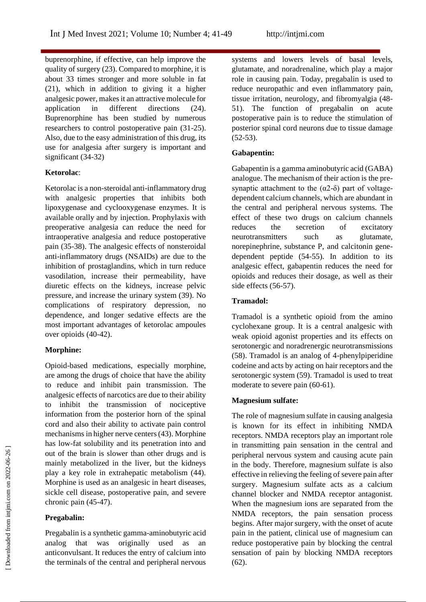buprenorphine, if effective, can help improve the quality of surgery (23). Compared to morphine, it is about 33 times stronger and more soluble in fat (21), which in addition to giving it a higher analgesic power, makes it an attractive molecule for application in different directions (24). Buprenorphine has been studied by numerous researchers to control postoperative pain (31-25). Also, due to the easy administration of this drug, its use for analgesia after surgery is important and significant (34-32)

### **Ketorolac**:

Ketorolac is a non-steroidal anti-inflammatory drug with analgesic properties that inhibits both lipoxygenase and cyclooxygenase enzymes. It is available orally and by injection. Prophylaxis with preoperative analgesia can reduce the need for intraoperative analgesia and reduce postoperative pain (35-38). The analgesic effects of nonsteroidal anti-inflammatory drugs (NSAIDs) are due to the inhibition of prostaglandins, which in turn reduce vasodilation, increase their permeability, have diuretic effects on the kidneys, increase pelvic pressure, and increase the urinary system (39). No complications of respiratory depression, no dependence, and longer sedative effects are the most important advantages of ketorolac ampoules over opioids (40-42).

# **Morphine:**

Opioid-based medications, especially morphine, are among the drugs of choice that have the ability to reduce and inhibit pain transmission. The analgesic effects of narcotics are due to their ability to inhibit the transmission of nociceptive information from the posterior horn of the spinal cord and also their ability to activate pain control mechanisms in higher nerve centers (43). Morphine has low-fat solubility and its penetration into and out of the brain is slower than other drugs and is mainly metabolized in the liver, but the kidneys play a key role in extrahepatic metabolism (44). Morphine is used as an analgesic in heart diseases, sickle cell disease, postoperative pain, and severe chronic pain (45-47).

# **Pregabalin:**

Pregabalin is a synthetic gamma-aminobutyric acid analog that was originally used as an anticonvulsant. It reduces the entry of calcium into the terminals of the central and peripheral nervous

systems and lowers levels of basal levels, glutamate, and noradrenaline, which play a major role in causing pain. Today, pregabalin is used to reduce neuropathic and even inflammatory pain, tissue irritation, neurology, and fibromyalgia (48- 51). The function of pregabalin on acute postoperative pain is to reduce the stimulation of posterior spinal cord neurons due to tissue damage (52-53).

### **Gabapentin:**

Gabapentin is a gamma aminobutyric acid (GABA) analogue. The mechanism of their action is the presynaptic attachment to the  $(\alpha 2-\delta)$  part of voltagedependent calcium channels, which are abundant in the central and peripheral nervous systems. The effect of these two drugs on calcium channels reduces the secretion of excitatory neurotransmitters such as glutamate, norepinephrine, substance P, and calcitonin genedependent peptide (54-55). In addition to its analgesic effect, gabapentin reduces the need for opioids and reduces their dosage, as well as their side effects (56-57).

### **Tramadol:**

Tramadol is a synthetic opioid from the amino cyclohexane group. It is a central analgesic with weak opioid agonist properties and its effects on serotonergic and noradrenergic neurotransmissions (58). Tramadol is an analog of 4-phenylpiperidine codeine and acts by acting on hair receptors and the serotonergic system (59). Tramadol is used to treat moderate to severe pain (60-61).

# **Magnesium sulfate:**

The role of magnesium sulfate in causing analgesia is known for its effect in inhibiting NMDA receptors. NMDA receptors play an important role in transmitting pain sensation in the central and peripheral nervous system and causing acute pain in the body. Therefore, magnesium sulfate is also effective in relieving the feeling of severe pain after surgery. Magnesium sulfate acts as a calcium channel blocker and NMDA receptor antagonist. When the magnesium ions are separated from the NMDA receptors, the pain sensation process begins. After major surgery, with the onset of acute pain in the patient, clinical use of magnesium can reduce postoperative pain by blocking the central sensation of pain by blocking NMDA receptors (62).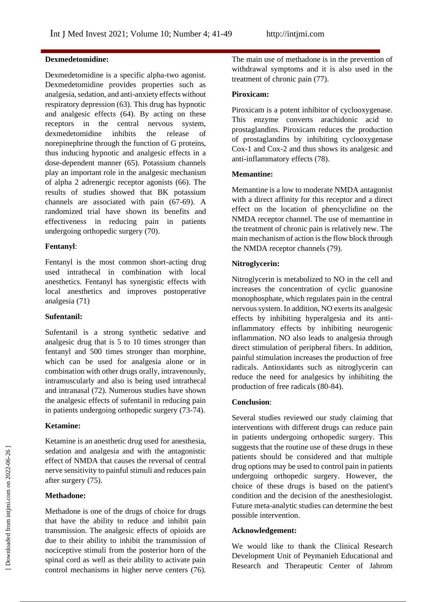### **Dexmedetomidine:**

Dexmedetomidine is a specific alpha-two agonist. Dexmedetomidine provides properties such as analgesia, sedation, and anti-anxiety effects without respiratory depression (63). This drug has hypnotic and analgesic effects (64). By acting on these receptors in the central nervous system, dexmedetomidine inhibits the release of norepinephrine through the function of G proteins, thus inducing hypnotic and analgesic effects in a dose-dependent manner (65). Potassium channels play an important role in the analgesic mechanism of alpha 2 adrenergic receptor agonists (66). The results of studies showed that BK potassium channels are associated with pain (67-69). A randomized trial have shown its benefits and effectiveness in reducing pain in patients undergoing orthopedic surgery (70).

### **Fentanyl**:

Fentanyl is the most common short-acting drug used intrathecal in combination with local anesthetics. Fentanyl has synergistic effects with local anesthetics and improves postoperative analgesia (71)

### **Sufentanil:**

Sufentanil is a strong synthetic sedative and analgesic drug that is 5 to 10 times stronger than fentanyl and 500 times stronger than morphine, which can be used for analgesia alone or in combination with other drugs orally, intravenously, intramuscularly and also is being used intrathecal and intranasal (72). Numerous studies have shown the analgesic effects of sufentanil in reducing pain in patients undergoing orthopedic surgery (73-74).

# **Ketamine:**

Ketamine is an anesthetic drug used for anesthesia, sedation and analgesia and with the antagonistic effect of NMDA that causes the reversal of central nerve sensitivity to painful stimuli and reduces pain after surgery (75).

# **Methadone:**

Methadone is one of the drugs of choice for drugs that have the ability to reduce and inhibit pain transmission. The analgesic effects of opioids are due to their ability to inhibit the transmission of nociceptive stimuli from the posterior horn of the spinal cord as well as their ability to activate pain control mechanisms in higher nerve centers (76).

The main use of methadone is in the prevention of withdrawal symptoms and it is also used in the treatment of chronic pain (77).

### **Piroxicam:**

Piroxicam is a potent inhibitor of cyclooxygenase. This enzyme converts arachidonic acid to prostaglandins. Piroxicam reduces the production of prostaglandins by inhibiting cyclooxygenase Cox-1 and Cox-2 and thus shows its analgesic and anti-inflammatory effects (78).

### **Memantine:**

Memantine is a low to moderate NMDA antagonist with a direct affinity for this receptor and a direct effect on the location of phencyclidine on the NMDA receptor channel. The use of memantine in the treatment of chronic pain is relatively new. The main mechanism of action is the flow block through the NMDA receptor channels (79).

### **Nitroglycerin:**

Nitroglycerin is metabolized to NO in the cell and increases the concentration of cyclic guanosine monophosphate, which regulates pain in the central nervous system. In addition, NO exerts its analgesic effects by inhibiting hyperalgesia and its antiinflammatory effects by inhibiting neurogenic inflammation. NO also leads to analgesia through direct stimulation of peripheral fibers. In addition, painful stimulation increases the production of free radicals. Antioxidants such as nitroglycerin can reduce the need for analgesics by inhibiting the production of free radicals (80-84).

# **Conclusion**:

Several studies reviewed our study claiming that interventions with different drugs can reduce pain in patients undergoing orthopedic surgery. This suggests that the routine use of these drugs in these patients should be considered and that multiple drug options may be used to control pain in patients undergoing orthopedic surgery. However, the choice of these drugs is based on the patient's condition and the decision of the anesthesiologist. Future meta-analytic studies can determine the best possible intervention.

# **Acknowledgement:**

We would like to thank the Clinical Research Development Unit of Peymanieh Educational and Research and Therapeutic Center of Jahrom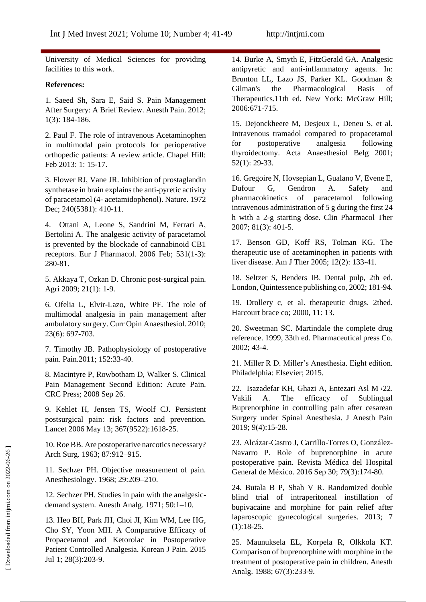University of Medical Sciences for providing facilities to this work.

#### **References:**

1. Saeed Sh, Sara E, Said S. Pain Management After Surgery: A Brief Review. Anesth Pain. 2012; 1(3): 184-186.

2. Paul F. The role of intravenous Acetaminophen in multimodal pain protocols for perioperative orthopedic patients: A review article. Chapel Hill: Feb 2013: 1: 15-17.

3. Flower RJ, Vane JR. Inhibition of prostaglandin synthetase in brain explains the anti-pyretic activity of paracetamol (4- acetamidophenol). Nature. 1972 Dec: 240(5381): 410-11.

4. Ottani A, Leone S, Sandrini M, Ferrari A, Bertolini A. The analgesic activity of paracetamol is prevented by the blockade of cannabinoid CB1 receptors. Eur J Pharmacol. 2006 Feb; 531(1-3): 280-81.

5. Akkaya T, Ozkan D. Chronic post-surgical pain. Agri 2009; 21(1): 1-9.

6. Ofelia L, Elvir-Lazo, White PF. The role of multimodal analgesia in pain management after ambulatory surgery. Curr Opin Anaesthesiol. 2010; 23(6): 697-703.

7. Timothy JB. Pathophysiology of postoperative pain. Pain.2011; 152:33-40.

8. Macintyre P, Rowbotham D, Walker S. Clinical Pain Management Second Edition: Acute Pain. CRC Press; 2008 Sep 26.

9. Kehlet H, Jensen TS, Woolf CJ. Persistent postsurgical pain: risk factors and prevention. Lancet 2006 May 13; 367(9522):1618-25.

10. Roe BB. Are postoperative narcotics necessary? Arch Surg. 1963; 87:912–915.

11. Sechzer PH. Objective measurement of pain. Anesthesiology. 1968; 29:209–210.

12. Sechzer PH. Studies in pain with the analgesicdemand system. Anesth Analg. 1971; 50:1–10.

13. Heo BH, Park JH, Choi JI, Kim WM, Lee HG, Cho SY, Yoon MH. A Comparative Efficacy of Propacetamol and Ketorolac in Postoperative Patient Controlled Analgesia. Korean J Pain. 2015 Jul 1; 28(3):203-9.

14. Burke A, Smyth E, FitzGerald GA. Analgesic antipyretic and anti-inflammatory agents. In: Brunton LL, Lazo JS, Parker KL. Goodman & Gilman's the Pharmacological Basis of Therapeutics.11th ed. New York: McGraw Hill; 2006:671-715.

15. Dejonckheere M, Desjeux L, Deneu S, et al. Intravenous tramadol compared to propacetamol for postoperative analgesia following thyroidectomy. Acta Anaesthesiol Belg 2001; 52(1): 29-33.

16. Gregoire N, Hovsepian L, Gualano V, Evene E, Dufour G, Gendron A. Safety and pharmacokinetics of paracetamol following intravenous administration of 5 g during the first 24 h with a 2-g starting dose. Clin Pharmacol Ther 2007; 81(3): 401-5.

17. Benson GD, Koff RS, Tolman KG. The therapeutic use of acetaminophen in patients with liver disease. Am J Ther 2005; 12(2): 133-41.

18. Seltzer S, Benders IB. Dental pulp, 2th ed. London, Quintessence publishing co, 2002; 181-94.

19. Drollery c, et al. therapeutic drugs. 2thed. Harcourt brace co; 2000, 11: 13.

20. Sweetman SC. Martindale the complete drug reference. 1999, 33th ed. Pharmaceutical press Co. 2002; 43-4.

21. Miller R D. Miller's Anesthesia. Eight edition. Philadelphia: Elsevier; 2015.

22. Isazadefar KH, Ghazi A, Entezari Asl M ،22. Vakili A. The efficacy of Sublingual Buprenorphine in controlling pain after cesarean Surgery under Spinal Anesthesia. J Anesth Pain 2019; 9(4):15-28.

23. Alcázar-Castro J, Carrillo-Torres O, González-Navarro P. Role of buprenorphine in acute postoperative pain. Revista Médica del Hospital General de México. 2016 Sep 30; 79(3):174-80.

24. Butala B P, Shah V R. Randomized double blind trial of intraperitoneal instillation of bupivacaine and morphine for pain relief after laparoscopic gynecological surgeries. 2013; 7 (1):18-25.

25. Maunuksela EL, Korpela R, Olkkola KT. Comparison of buprenorphine with morphine in the treatment of postoperative pain in children. Anesth Analg. 1988; 67(3):233-9.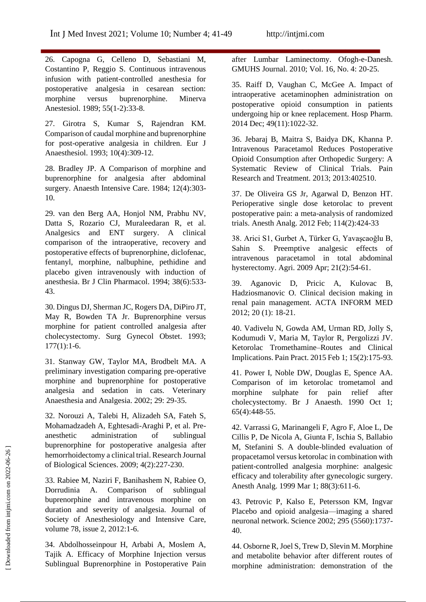26. Capogna G, Celleno D, Sebastiani M, Costantino P, Reggio S. Continuous intravenous infusion with patient-controlled anesthesia for postoperative analgesia in cesarean section: morphine versus buprenorphine. Minerva Anestesiol. 1989; 55(1-2):33-8.

27. Girotra S, Kumar S, Rajendran KM. Comparison of caudal morphine and buprenorphine for post-operative analgesia in children. Eur J Anaesthesiol. 1993; 10(4):309-12.

28. Bradley JP. A Comparison of morphine and buprenorphine for analgesia after abdominal surgery. Anaesth Intensive Care. 1984; 12(4):303- 10.

29. van den Berg AA, Honjol NM, Prabhu NV, Datta S, Rozario CJ, Muraleedaran R, et al. Analgesics and ENT surgery. A clinical comparison of the intraoperative, recovery and postoperative effects of buprenorphine, diclofenac, fentanyl, morphine, nalbuphine, pethidine and placebo given intravenously with induction of anesthesia. Br J Clin Pharmacol. 1994; 38(6):533- 43.

30. Dingus DJ, Sherman JC, Rogers DA, DiPiro JT, May R, Bowden TA Jr. Buprenorphine versus morphine for patient controlled analgesia after cholecystectomy. Surg Gynecol Obstet. 1993;  $177(1):1-6.$ 

31. Stanway GW, Taylor MA, Brodbelt MA. A preliminary investigation comparing pre-operative morphine and buprenorphine for postoperative analgesia and sedation in cats. Veterinary Anaesthesia and Analgesia. 2002; 29: 29-35.

32. Norouzi A, Talebi H, Alizadeh SA, Fateh S, Mohamadzadeh A, Eghtesadi-Araghi P, et al. Preanesthetic administration of sublingual buprenorphine for postoperative analgesia after hemorrhoidectomy a clinical trial. Research Journal of Biological Sciences. 2009; 4(2):227-230.

33. Rabiee M, Naziri F, Banihashem N, Rabiee O, Dorrudinia A. Comparison of sublingual buprenorphine and intravenous morphine on duration and severity of analgesia. Journal of Society of Anesthesiology and Intensive Care, volume 78, issue 2, 2012:1-6.

34. Abdolhosseinpour H, Arbabi A, Moslem A, Tajik A. Efficacy of Morphine Injection versus Sublingual Buprenorphine in Postoperative Pain after Lumbar Laminectomy. Ofogh-e-Danesh. GMUHS Journal. 2010; Vol. 16, No. 4: 20-25.

35. Raiff D, Vaughan C, McGee A. Impact of intraoperative acetaminophen administration on postoperative opioid consumption in patients undergoing hip or knee replacement. Hosp Pharm. 2014 Dec; 49(11):1022-32.

36. Jebaraj B, Maitra S, Baidya DK, Khanna P. Intravenous Paracetamol Reduces Postoperative Opioid Consumption after Orthopedic Surgery: A Systematic Review of Clinical Trials. Pain Research and Treatment. 2013; 2013:402510.

37. De Oliveira GS Jr, Agarwal D, Benzon HT. Perioperative single dose ketorolac to prevent postoperative pain: a meta-analysis of randomized trials. Anesth Analg. 2012 Feb; 114(2):424-33

38. Arici S1, Gurbet A, Türker G, Yavaşcaoğlu B, Sahin S. Preemptive analgesic effects of intravenous paracetamol in total abdominal hysterectomy. Agri. 2009 Apr; 21(2):54-61.

39. Aganovic D, Pricic A, Kulovac B, Hadziosmanovic O. Clinical decision making in renal pain management. ACTA INFORM MED 2012; 20 (1): 18-21.

40. Vadivelu N, Gowda AM, Urman RD, Jolly S, Kodumudi V, Maria M, Taylor R, Pergolizzi JV. Ketorolac Tromethamine–Routes and Clinical Implications. Pain Pract. 2015 Feb 1; 15(2):175-93.

41. Power I, Noble DW, Douglas E, Spence AA. Comparison of im ketorolac trometamol and morphine sulphate for pain relief after cholecystectomy. Br J Anaesth. 1990 Oct 1; 65(4):448-55.

42. Varrassi G, Marinangeli F, Agro F, Aloe L, De Cillis P, De Nicola A, Giunta F, Ischia S, Ballabio M, Stefanini S. A double-blinded evaluation of propacetamol versus ketorolac in combination with patient-controlled analgesia morphine: analgesic efficacy and tolerability after gynecologic surgery. Anesth Analg. 1999 Mar 1; 88(3):611-6.

43. Petrovic P, Kalso E, Petersson KM, Ingvar Placebo and opioid analgesia—imaging a shared neuronal network. Science 2002; 295 (5560):1737- 40.

44. Osborne R, Joel S, Trew D, Slevin M. Morphine and metabolite behavior after different routes of morphine administration: demonstration of the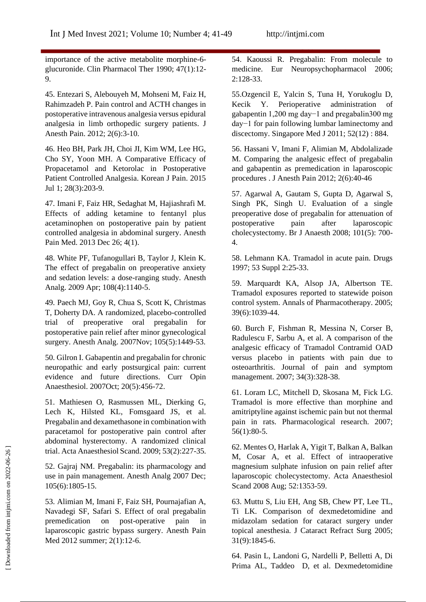importance of the active metabolite morphine-6 glucuronide. Clin Pharmacol Ther 1990; 47(1):12- 9.

45. Entezari S, Alebouyeh M, Mohseni M, Faiz H, Rahimzadeh P. Pain control and ACTH changes in postoperative intravenous analgesia versus epidural analgesia in limb orthopedic surgery patients. J Anesth Pain. 2012; 2(6):3-10.

46. Heo BH, Park JH, Choi JI, Kim WM, Lee HG, Cho SY, Yoon MH. A Comparative Efficacy of Propacetamol and Ketorolac in Postoperative Patient Controlled Analgesia. Korean J Pain. 2015 Jul 1; 28(3):203-9.

47. Imani F, Faiz HR, Sedaghat M, Hajiashrafi M. Effects of adding ketamine to fentanyl plus acetaminophen on postoperative pain by patient controlled analgesia in abdominal surgery. Anesth Pain Med. 2013 Dec 26; 4(1).

48. White PF, Tufanogullari B, Taylor J, Klein K. The effect of pregabalin on preoperative anxiety and sedation levels: a dose-ranging study. Anesth Analg. 2009 Apr; 108(4):1140-5.

49. Paech MJ, Goy R, Chua S, Scott K, Christmas T, Doherty DA. A randomized, placebo-controlled trial of preoperative oral pregabalin for postoperative pain relief after minor gynecological surgery. Anesth Analg. 2007Nov; 105(5):1449-53.

50. Gilron I. Gabapentin and pregabalin for chronic neuropathic and early postsurgical pain: current evidence and future directions. Curr Opin Anaesthesiol. 2007Oct; 20(5):456-72.

51. Mathiesen O, Rasmussen ML, Dierking G, Lech K, Hilsted KL, Fomsgaard JS, et al. Pregabalin and dexamethasone in combination with paracetamol for postoperative pain control after abdominal hysterectomy. A randomized clinical trial. Acta Anaesthesiol Scand. 2009; 53(2):227-35.

52. Gajraj NM. Pregabalin: its pharmacology and use in pain management. Anesth Analg 2007 Dec; 105(6):1805-15.

53. Alimian M, Imani F, Faiz SH, Pournajafian A, Navadegi SF, Safari S. Effect of oral pregabalin premedication on post-operative pain in laparoscopic gastric bypass surgery. Anesth Pain Med 2012 summer; 2(1):12-6.

54. Kaoussi R. Pregabalin: From molecule to medicine. Eur Neuropsychopharmacol 2006; 2:128-33.

55.Ozgencil E, Yalcin S, Tuna H, Yorukoglu D, Kecik Y. Perioperative administration of gabapentin 1,200 mg day−1 and pregabalin300 mg day−1 for pain following lumbar laminectomy and discectomy. Singapore Med J 2011; 52(12) : 884.

56. Hassani V, Imani F, Alimian M, Abdolalizade M. Comparing the analgesic effect of pregabalin and gabapentin as premedication in laparoscopic procedures . J Anesth Pain 2012; 2(6):40-46

57. Agarwal A, Gautam S, Gupta D, Agarwal S, Singh PK, Singh U. Evaluation of a single preoperative dose of pregabalin for attenuation of postoperative pain after laparoscopic cholecystectomy. Br J Anaesth 2008; 101(5): 700- 4.

58. Lehmann KA. Tramadol in acute pain. Drugs 1997; 53 Suppl 2:25-33.

59. Marquardt KA, Alsop JA, Albertson TE. Tramadol exposures reported to statewide poison control system. Annals of Pharmacotherapy. 2005; 39(6):1039-44.

60. Burch F, Fishman R, Messina N, Corser B, Radulescu F, Sarbu A, et al. A comparison of the analgesic efficacy of Tramadol Contramid OAD versus placebo in patients with pain due to osteoarthritis. Journal of pain and symptom management. 2007; 34(3):328-38.

61. Loram LC, Mitchell D, Skosana M, Fick LG. Tramadol is more effective than morphine and amitriptyline against ischemic pain but not thermal pain in rats. Pharmacological research. 2007; 56(1):80-5.

62. Mentes O, Harlak A, Yigit T, Balkan A, Balkan M, Cosar A, et al. Effect of intraoperative magnesium sulphate infusion on pain relief after laparoscopic cholecystectomy. Acta Anaesthesiol Scand 2008 Aug; 52:1353-59.

63. Muttu S, Liu EH, Ang SB, Chew PT, Lee TL, Ti LK. Comparison of dexmedetomidine and midazolam sedation for cataract surgery under topical anesthesia. J Cataract Refract Surg 2005; 31(9):1845-6.

64. Pasin L, Landoni G, Nardelli P, Belletti A, Di Prima AL, Taddeo D, et al. Dexmedetomidine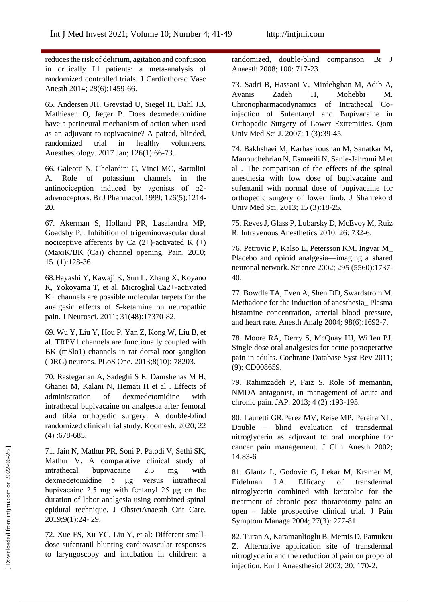reduces the risk of delirium, agitation and confusion in critically Ill patients: a meta-analysis of randomized controlled trials. J Cardiothorac Vasc Anesth 2014; 28(6):1459-66.

65. Andersen JH, Grevstad U, Siegel H, Dahl JB, Mathiesen O, Jæger P. Does dexmedetomidine have a perineural mechanism of action when used as an adjuvant to ropivacaine? A paired, blinded, randomized trial in healthy volunteers. Anesthesiology. 2017 Jan; 126(1):66-73.

66. Galeotti N, Ghelardini C, Vinci MC, Bartolini A. Role of potassium channels in the antinociception induced by agonists of  $\alpha$ 2adrenoceptors. Br J Pharmacol. 1999; 126(5):1214- 20.

67. Akerman S, Holland PR, Lasalandra MP, Goadsby PJ. Inhibition of trigeminovascular dural nociceptive afferents by Ca  $(2+)$ -activated K  $(+)$ (MaxiK/BK (Ca)) channel opening. Pain. 2010; 151(1):128-36.

68.Hayashi Y, Kawaji K, Sun L, Zhang X, Koyano K, Yokoyama T, et al. Microglial Ca2+-activated K+ channels are possible molecular targets for the analgesic effects of S-ketamine on neuropathic pain. J Neurosci. 2011; 31(48):17370-82.

69. Wu Y, Liu Y, Hou P, Yan Z, Kong W, Liu B, et al. TRPV1 channels are functionally coupled with BK (mSlo1) channels in rat dorsal root ganglion (DRG) neurons. PLoS One. 2013;8(10): 78203.

70. Rastegarian A, Sadeghi S E, Damshenas M H, Ghanei M, Kalani N, Hemati H et al . Effects of administration of dexmedetomidine with intrathecal bupivacaine on analgesia after femoral and tibia orthopedic surgery: A double-blind randomized clinical trial study. Koomesh. 2020; 22 (4) :678-685.

71. Jain N, Mathur PR, Soni P, Patodi V, Sethi SK, Mathur V. A comparative clinical study of intrathecal bupivacaine 2.5 mg with dexmedetomidine 5 μg versus intrathecal bupivacaine 2.5 mg with fentanyl 25 μg on the duration of labor analgesia using combined spinal epidural technique. J ObstetAnaesth Crit Care. 2019;9(1):24- 29.

72. Xue FS, Xu YC, Liu Y, et al: Different smalldose sufentanil blunting cardiovascular responses to laryngoscopy and intubation in children: a randomized, double-blind comparison. Br J Anaesth 2008; 100: 717-23.

73. Sadri B, Hassani V, Mirdehghan M, Adib A, Avanis Zadeh H, Mohebbi M. Chronopharmacodynamics of Intrathecal Coinjection of Sufentanyl and Bupivacaine in Orthopedic Surgery of Lower Extremities. Qom Univ Med Sci J. 2007; 1 (3):39-45.

74. Bakhshaei M, Karbasfroushan M, Sanatkar M, Manouchehrian N, Esmaeili N, Sanie-Jahromi M et al . The comparison of the effects of the spinal anesthesia with low dose of bupivacaine and sufentanil with normal dose of bupivacaine for orthopedic surgery of lower limb. J Shahrekord Univ Med Sci. 2013; 15 (3):18-25.

75. Reves J, Glass P, Lubarsky D, McEvoy M, Ruiz R. Intravenous Anesthetics 2010; 26: 732-6.

76. Petrovic P, Kalso E, Petersson KM, Ingvar M\_ Placebo and opioid analgesia—imaging a shared neuronal network. Science 2002; 295 (5560):1737- 40.

77. Bowdle TA, Even A, Shen DD, Swardstrom M. Methadone for the induction of anesthesia\_ Plasma histamine concentration, arterial blood pressure, and heart rate. Anesth Analg 2004; 98(6):1692-7.

78. Moore RA, Derry S, McQuay HJ, Wiffen PJ. Single dose oral analgesics for acute postoperative pain in adults. Cochrane Database Syst Rev 2011; (9): CD008659.

79. Rahimzadeh P, Faiz S. Role of memantin, NMDA antagonist, in management of acute and chronic pain. JAP. 2013; 4 (2) :193-195.

80. Lauretti GR,Perez MV, Reise MP, Pereira NL. Double – blind evaluation of transdermal nitroglycerin as adjuvant to oral morphine for cancer pain management. J Clin Anesth 2002; 14:83-6

81. Glantz L, Godovic G, Lekar M, Kramer M, Eidelman LA. Efficacy of transdermal nitroglycerin combined with ketorolac for the treatment of chronic post thoracotomy pain: an open – lable prospective clinical trial. J Pain Symptom Manage 2004; 27(3): 277-81.

82. Turan A, Karamanlioglu B, Memis D, Pamukcu Z. Alternative application site of transdermal nitroglycerin and the reduction of pain on propofol injection. Eur J Anaesthesiol 2003; 20: 170-2.